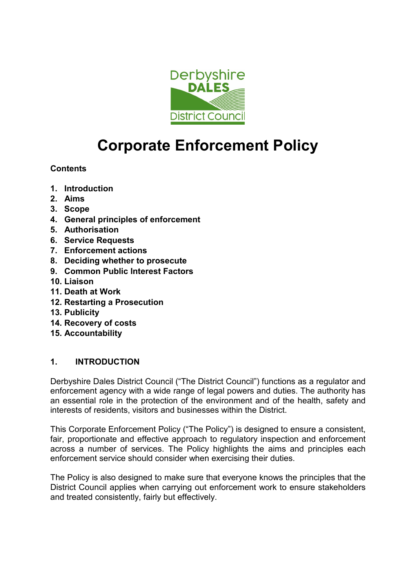

# **Corporate Enforcement Policy**

# **Contents**

- **1. Introduction**
- **2. Aims**
- **3. Scope**
- **4. General principles of enforcement**
- **5. Authorisation**
- **6. Service Requests**
- **7. Enforcement actions**
- **8. Deciding whether to prosecute**
- **9. Common Public Interest Factors**
- **10. Liaison**
- **11. Death at Work**
- **12. Restarting a Prosecution**
- **13. Publicity**
- **14. Recovery of costs**
- **15. Accountability**

## **1. INTRODUCTION**

Derbyshire Dales District Council ("The District Council") functions as a regulator and enforcement agency with a wide range of legal powers and duties. The authority has an essential role in the protection of the environment and of the health, safety and interests of residents, visitors and businesses within the District.

This Corporate Enforcement Policy ("The Policy") is designed to ensure a consistent, fair, proportionate and effective approach to regulatory inspection and enforcement across a number of services. The Policy highlights the aims and principles each enforcement service should consider when exercising their duties.

The Policy is also designed to make sure that everyone knows the principles that the District Council applies when carrying out enforcement work to ensure stakeholders and treated consistently, fairly but effectively.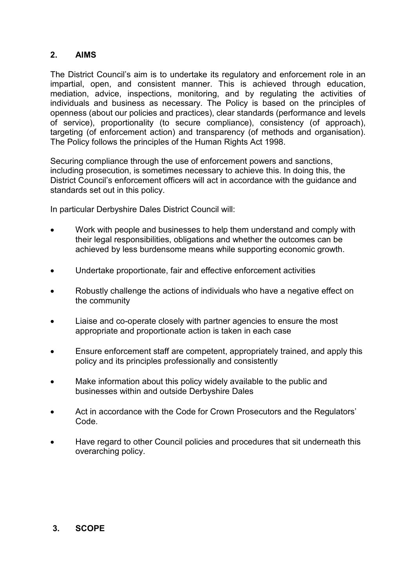# **2. AIMS**

The District Council's aim is to undertake its regulatory and enforcement role in an impartial, open, and consistent manner. This is achieved through education, mediation, advice, inspections, monitoring, and by regulating the activities of individuals and business as necessary. The Policy is based on the principles of openness (about our policies and practices), clear standards (performance and levels of service), proportionality (to secure compliance), consistency (of approach), targeting (of enforcement action) and transparency (of methods and organisation). The Policy follows the principles of the Human Rights Act 1998.

Securing compliance through the use of enforcement powers and sanctions, including prosecution, is sometimes necessary to achieve this. In doing this, the District Council's enforcement officers will act in accordance with the guidance and standards set out in this policy.

In particular Derbyshire Dales District Council will:

- Work with people and businesses to help them understand and comply with their legal responsibilities, obligations and whether the outcomes can be achieved by less burdensome means while supporting economic growth.
- Undertake proportionate, fair and effective enforcement activities
- Robustly challenge the actions of individuals who have a negative effect on the community
- Liaise and co-operate closely with partner agencies to ensure the most appropriate and proportionate action is taken in each case
- Ensure enforcement staff are competent, appropriately trained, and apply this policy and its principles professionally and consistently
- Make information about this policy widely available to the public and businesses within and outside Derbyshire Dales
- Act in accordance with the Code for Crown Prosecutors and the Regulators' Code.
- Have regard to other Council policies and procedures that sit underneath this overarching policy.

## **3. SCOPE**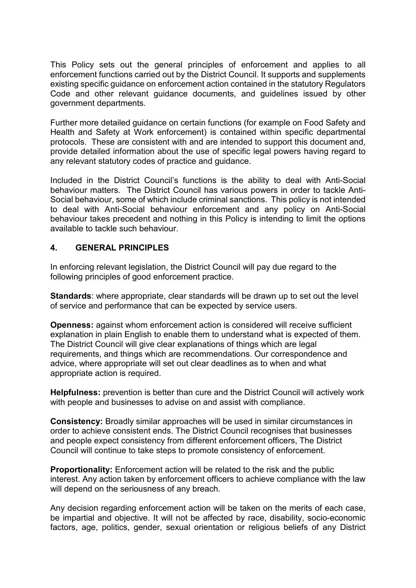This Policy sets out the general principles of enforcement and applies to all enforcement functions carried out by the District Council. It supports and supplements existing specific guidance on enforcement action contained in the statutory Regulators Code and other relevant guidance documents, and guidelines issued by other government departments.

Further more detailed guidance on certain functions (for example on Food Safety and Health and Safety at Work enforcement) is contained within specific departmental protocols. These are consistent with and are intended to support this document and, provide detailed information about the use of specific legal powers having regard to any relevant statutory codes of practice and guidance.

Included in the District Council's functions is the ability to deal with Anti-Social behaviour matters. The District Council has various powers in order to tackle Anti-Social behaviour, some of which include criminal sanctions. This policy is not intended to deal with Anti-Social behaviour enforcement and any policy on Anti-Social behaviour takes precedent and nothing in this Policy is intending to limit the options available to tackle such behaviour.

#### **4. GENERAL PRINCIPLES**

In enforcing relevant legislation, the District Council will pay due regard to the following principles of good enforcement practice.

**Standards**: where appropriate, clear standards will be drawn up to set out the level of service and performance that can be expected by service users.

**Openness:** against whom enforcement action is considered will receive sufficient explanation in plain English to enable them to understand what is expected of them. The District Council will give clear explanations of things which are legal requirements, and things which are recommendations. Our correspondence and advice, where appropriate will set out clear deadlines as to when and what appropriate action is required.

**Helpfulness:** prevention is better than cure and the District Council will actively work with people and businesses to advise on and assist with compliance.

**Consistency:** Broadly similar approaches will be used in similar circumstances in order to achieve consistent ends. The District Council recognises that businesses and people expect consistency from different enforcement officers, The District Council will continue to take steps to promote consistency of enforcement.

**Proportionality:** Enforcement action will be related to the risk and the public interest. Any action taken by enforcement officers to achieve compliance with the law will depend on the seriousness of any breach.

Any decision regarding enforcement action will be taken on the merits of each case, be impartial and objective. It will not be affected by race, disability, socio-economic factors, age, politics, gender, sexual orientation or religious beliefs of any District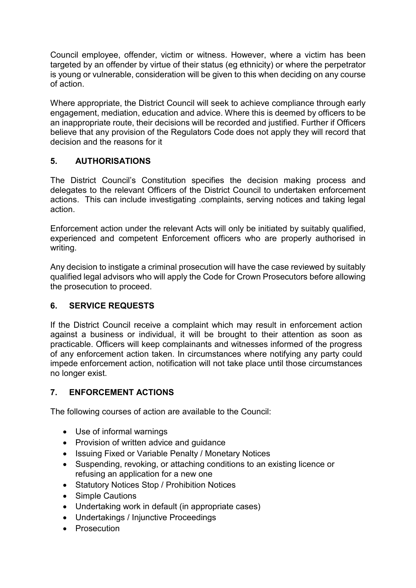Council employee, offender, victim or witness. However, where a victim has been targeted by an offender by virtue of their status (eg ethnicity) or where the perpetrator is young or vulnerable, consideration will be given to this when deciding on any course of action.

Where appropriate, the District Council will seek to achieve compliance through early engagement, mediation, education and advice. Where this is deemed by officers to be an inappropriate route, their decisions will be recorded and justified. Further if Officers believe that any provision of the Regulators Code does not apply they will record that decision and the reasons for it

# **5. AUTHORISATIONS**

The District Council's Constitution specifies the decision making process and delegates to the relevant Officers of the District Council to undertaken enforcement actions. This can include investigating .complaints, serving notices and taking legal action.

Enforcement action under the relevant Acts will only be initiated by suitably qualified, experienced and competent Enforcement officers who are properly authorised in writing.

Any decision to instigate a criminal prosecution will have the case reviewed by suitably qualified legal advisors who will apply the Code for Crown Prosecutors before allowing the prosecution to proceed.

## **6. SERVICE REQUESTS**

If the District Council receive a complaint which may result in enforcement action against a business or individual, it will be brought to their attention as soon as practicable. Officers will keep complainants and witnesses informed of the progress of any enforcement action taken. In circumstances where notifying any party could impede enforcement action, notification will not take place until those circumstances no longer exist.

## **7. ENFORCEMENT ACTIONS**

The following courses of action are available to the Council:

- Use of informal warnings
- Provision of written advice and guidance
- Issuing Fixed or Variable Penalty / Monetary Notices
- Suspending, revoking, or attaching conditions to an existing licence or refusing an application for a new one
- Statutory Notices Stop / Prohibition Notices
- Simple Cautions
- Undertaking work in default (in appropriate cases)
- Undertakings / Injunctive Proceedings
- Prosecution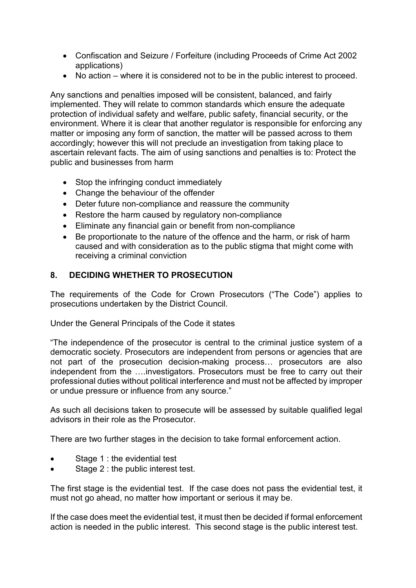- Confiscation and Seizure / Forfeiture (including Proceeds of Crime Act 2002 applications)
- No action where it is considered not to be in the public interest to proceed.

Any sanctions and penalties imposed will be consistent, balanced, and fairly implemented. They will relate to common standards which ensure the adequate protection of individual safety and welfare, public safety, financial security, or the environment. Where it is clear that another regulator is responsible for enforcing any matter or imposing any form of sanction, the matter will be passed across to them accordingly; however this will not preclude an investigation from taking place to ascertain relevant facts. The aim of using sanctions and penalties is to: Protect the public and businesses from harm

- Stop the infringing conduct immediately
- Change the behaviour of the offender
- Deter future non-compliance and reassure the community
- Restore the harm caused by regulatory non-compliance
- Eliminate any financial gain or benefit from non-compliance
- Be proportionate to the nature of the offence and the harm, or risk of harm caused and with consideration as to the public stigma that might come with receiving a criminal conviction

# **8. DECIDING WHETHER TO PROSECUTION**

The requirements of the Code for Crown Prosecutors ("The Code") applies to prosecutions undertaken by the District Council.

Under the General Principals of the Code it states

"The independence of the prosecutor is central to the criminal justice system of a democratic society. Prosecutors are independent from persons or agencies that are not part of the prosecution decision-making process… prosecutors are also independent from the ….investigators. Prosecutors must be free to carry out their professional duties without political interference and must not be affected by improper or undue pressure or influence from any source."

As such all decisions taken to prosecute will be assessed by suitable qualified legal advisors in their role as the Prosecutor.

There are two further stages in the decision to take formal enforcement action.

- Stage 1 : the evidential test
- Stage 2 : the public interest test.

The first stage is the evidential test. If the case does not pass the evidential test, it must not go ahead, no matter how important or serious it may be.

If the case does meet the evidential test, it must then be decided if formal enforcement action is needed in the public interest. This second stage is the public interest test.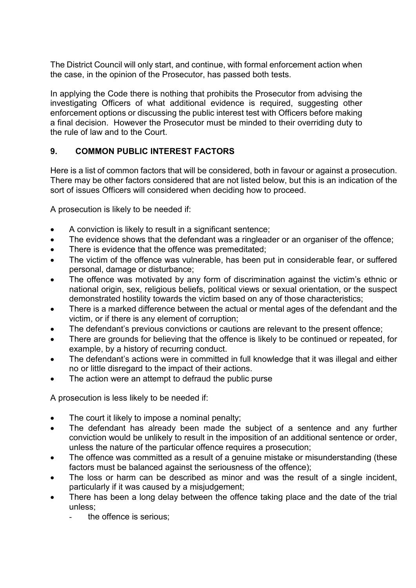The District Council will only start, and continue, with formal enforcement action when the case, in the opinion of the Prosecutor, has passed both tests.

In applying the Code there is nothing that prohibits the Prosecutor from advising the investigating Officers of what additional evidence is required, suggesting other enforcement options or discussing the public interest test with Officers before making a final decision. However the Prosecutor must be minded to their overriding duty to the rule of law and to the Court.

# **9. COMMON PUBLIC INTEREST FACTORS**

Here is a list of common factors that will be considered, both in favour or against a prosecution. There may be other factors considered that are not listed below, but this is an indication of the sort of issues Officers will considered when deciding how to proceed.

A prosecution is likely to be needed if:

- A conviction is likely to result in a significant sentence;
- The evidence shows that the defendant was a ringleader or an organiser of the offence;
- There is evidence that the offence was premeditated;
- The victim of the offence was vulnerable, has been put in considerable fear, or suffered personal, damage or disturbance;
- The offence was motivated by any form of discrimination against the victim's ethnic or national origin, sex, religious beliefs, political views or sexual orientation, or the suspect demonstrated hostility towards the victim based on any of those characteristics;
- There is a marked difference between the actual or mental ages of the defendant and the victim, or if there is any element of corruption;
- The defendant's previous convictions or cautions are relevant to the present offence;
- There are grounds for believing that the offence is likely to be continued or repeated, for example, by a history of recurring conduct.
- The defendant's actions were in committed in full knowledge that it was illegal and either no or little disregard to the impact of their actions.
- The action were an attempt to defraud the public purse

A prosecution is less likely to be needed if:

- The court it likely to impose a nominal penalty;
- The defendant has already been made the subject of a sentence and any further conviction would be unlikely to result in the imposition of an additional sentence or order, unless the nature of the particular offence requires a prosecution;
- The offence was committed as a result of a genuine mistake or misunderstanding (these factors must be balanced against the seriousness of the offence);
- The loss or harm can be described as minor and was the result of a single incident. particularly if it was caused by a misjudgement;
- There has been a long delay between the offence taking place and the date of the trial unless;
	- the offence is serious: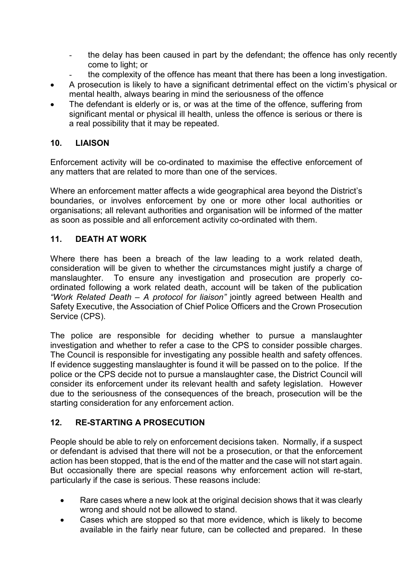- the delay has been caused in part by the defendant; the offence has only recently come to light; or
	- the complexity of the offence has meant that there has been a long investigation.
- A prosecution is likely to have a significant detrimental effect on the victim's physical or mental health, always bearing in mind the seriousness of the offence
- The defendant is elderly or is, or was at the time of the offence, suffering from significant mental or physical ill health, unless the offence is serious or there is a real possibility that it may be repeated.

## **10. LIAISON**

Enforcement activity will be co-ordinated to maximise the effective enforcement of any matters that are related to more than one of the services.

Where an enforcement matter affects a wide geographical area beyond the District's boundaries, or involves enforcement by one or more other local authorities or organisations; all relevant authorities and organisation will be informed of the matter as soon as possible and all enforcement activity co-ordinated with them.

# **11. DEATH AT WORK**

Where there has been a breach of the law leading to a work related death, consideration will be given to whether the circumstances might justify a charge of manslaughter. To ensure any investigation and prosecution are properly coordinated following a work related death, account will be taken of the publication *"Work Related Death – A protocol for liaison"* jointly agreed between Health and Safety Executive, the Association of Chief Police Officers and the Crown Prosecution Service (CPS).

The police are responsible for deciding whether to pursue a manslaughter investigation and whether to refer a case to the CPS to consider possible charges. The Council is responsible for investigating any possible health and safety offences. If evidence suggesting manslaughter is found it will be passed on to the police. If the police or the CPS decide not to pursue a manslaughter case, the District Council will consider its enforcement under its relevant health and safety legislation. However due to the seriousness of the consequences of the breach, prosecution will be the starting consideration for any enforcement action.

## **12. RE-STARTING A PROSECUTION**

People should be able to rely on enforcement decisions taken. Normally, if a suspect or defendant is advised that there will not be a prosecution, or that the enforcement action has been stopped, that is the end of the matter and the case will not start again. But occasionally there are special reasons why enforcement action will re-start, particularly if the case is serious. These reasons include:

- Rare cases where a new look at the original decision shows that it was clearly wrong and should not be allowed to stand.
- Cases which are stopped so that more evidence, which is likely to become available in the fairly near future, can be collected and prepared. In these